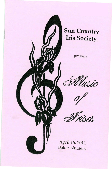

## **Sun Country Iris Society**

*presents* 



April 16, 2011 Baker Nursery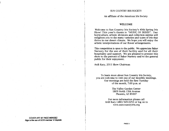## SUN COUNTRY IRIS SOCIETY

An affiliate of the American Iris Society

#### WELCOME

Welcome to Sun Country Iris Society's 40th Spring Iris Show! This year's theme is "MUSIC OF IRISES''. Our horticulture, artistic divisions and collection entries will enlighten you to the many varieties and types of iris that thrive in our desert climate. We hope you will enjoy the artistic interpretations of our flower arrangements.

'This competition is open to the public. We appreciate Baker Nursery for the use of their facility and for all their hospitality and support. We are pleased to present this show to the patrons of Baker Nursery and to the general public for their enjoyment.

Ardi Kary, 2011 Show Chairman

To learn more about Sun Country Iris Society, you are welcome to visit one of our monthly meetings. Our meetings are held the first Tuesday of the month, 7:00 p.m. at

> The Valley Garden Center 1809 North 15th Avenue Phoenix, AZ 85007

For more information please call Ardi Kary (480) 949-0253 or log on to www.suncountryiris.org

#### COVER ART BY RIGO MENDEZ Riga is the son of SC/S member Vi Zepeda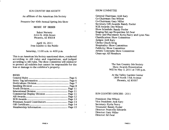#### SUN COUNTRY IRIS SOCIETY

An affiliate of the American Iris Society

Presents Our 40th Annual Spring Iris Show

## MUSIC OF IRISES

Baker Nursery 3414 N. 40th Street Phoenix, AZ 85018

April 16, 2011 Free Exhibit to the Public

Saturday, 11:00 a.m. to 4:00 p.m.

This is an American Iris Society sanctioned show, conducted according to AIS rules and regulations, and judged according to AIS rules. The show committee will endeavor to protect all exhibits but cannot be responsible for the loss or damage to the exhibitor's property.

#### INDEX

SHOW COMMITTEE

 $\tilde{\mathbf{v}}$ 

General Chairman: Ardi Kary Co-Chairman: Dee Wilson Co-Chairman: Gary Miller Secretary/AIS Awards: Randy Pooler SCIS Awards: Dee Wilson Show Schedule: Randy Pooler Staging/Set-up/Properties: Ed Zwar Entry and Placement: Kyria Peavy and Lynn Nau Classification: Show Committee Judges: Ardi Kary Clerks: Chuck Krog Hospitality: Show Committee Publicity: Show Committee Artistic Concepts: Show Committee Clean-up: All Members

> The Sun Country Iris Society Show Awards Presentation Will be May 3, 2011 at 7:00 p.m.

At the Valley Garden Center 1809 North 15th Avenue Phoenix, AZ 85007

#### SUN COUNTRY OFFICERS - 2011

President: Dee Wilson Vice President: Ardi Kary Secretary: Kyria Peavy Treasurer: Randy Pooler Director: Francelle Edwards Director: Gary Miller Director: Ed Zwar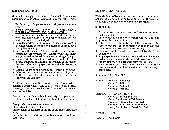## GENERAL SHOW RULES

General Rules apply to all divisions. For specific information pertaining to your entry, see Special Rules for that Division.

- 1. Exhibition privileges are open to all persons without charge.
- 2. Entries accepted 8:00 a.m. to 9:30 a.m., April 16. lATE ENTRIES ACCEPTED FOR DISPLAY ONLY.
- 3. Entries must be clearly, correctly, and completely identified and entered in the proper division, section and group/class; to be judged.
- 4. No judge or designated apprentice judge may judge in a section where the judge or a member of the judge's family has an entry.
- 5. Judging will begin at 10:00 a.m., April 16. Only judges, designated apprentices, show Chairpersons, and clerks are permitted in the exhibition area during judging.
- 6. Judging will be done in accordance to AlS rules. Any award, either AIS or SCIS, may be withheld at the judges' discretion if no worthy specimen is available. Decisions of the judges are fmal.
- 7. Official AlS rules and regulations cannot be violated.
- 8. Exhibits and ribbons must remain on display until 4:00 p.m., April 16. All entries must be removed by 4:30 p.m. on that date.

AIS Entry Tags, Exhibitor Numbers and Forms will be available at the April 5 Sun Country Iris Society general meeting and at the show location from 8:00 a.m. to 9:30 a.m. on April 16.

Please print in blue or black ink only. Complete both portions of each tag, following the Show Schedule outline.

Group refers to horticultural entries.

Class refers to artistic entries.

Variety refers to the name of the iris or the title of an artistic entry.

Entry No. is the Exhibitor Number assigned by Show Secretary.

## DIVISION I - HORTICULTURE

While the Scale of Points varies for each section, all sections are scored 75 points for cultural perfection (flower and stalk) and 25 points for condition and grooming.

## SPECIAL RULES

- 1. Entries must have been grown and entered in person by the exhibitor.
- 2. Entries placed on the show bench will be judged as groomed by the exhibitor.
- 3. Exhibitors may enter only one stalk of any particular variety. but may enter as many varieties as desired. (Collections are excepted; see Section K.)
- 4. Display containers will be furnished by the Show Committee.
- 5. Single specimen entries will be placed in alphabetical order of variety name within sections/groups. Each variety (cultivar) is a separate class for judging.
- 6. Faded stalks may be groomed or removed by the Show Committee or the exhibitor anytime after the judging is completed.

Section A - TALL BEARDED

Section B - ARIL AND ARlLBRED Group 1 - Aril Group 2 - Arilbred Group 3 - Aril-med

Section C - MEDIAN AND DWARF

Group 1 - Border Bearded

Group 2 - Miniature Tall Bearded

Group 3 - Intermediate Bearded

Group 4 - Standard Dwarf Bearded

Group 5 - Miniature Dwarf Bearded

Section D - SPURIA

Section E - LOUISIANA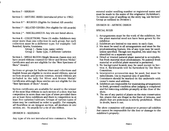Section F - SIBERIAN

Section G - HISTORIC IRISES (introduced prior to 1982)

Section H \* - BULBOUS (Eligible for limited AIS awards)

Section I \* - RELATED GENERA (Not eligible for AIS awards)

Section J<sup>\*</sup> - MISCELLANEOUS: Any iris not listed above.

Section K - COllECTIONS: Three (3) stalks. Exhibitors may enter more than one collection in each group, but each collection must be a different type; for example: Tall Bearded, Spuria, Louisiana.

Group 1 - Same type, same variety Group 2 - Same type, 3 different varieties

Section L - SINGLE BLOOM (Single blossom classes may not have award ribbons counted for Silver and Bronze Medal/ Certificates and are not eligibile for the "Best Specimen of Show" Award.)

Sections or groups for bulbous irises and collections and English boxes are eligible to receive award ribbons, special section awards and section rosettes. Award ribbons are included in the tally for Silver and Bronze Medal/ Certificates although these entries are not eligible for the "Best Specimen of Show" Award.

Section certificates are available for award to the winner of the most blue ribbons in each section of a show that has competition in more than one type of irises provided there are at least three exhibitors and there is competition in at least five varieties/ cultivars. Groups of various types of irises may be combined in order to qualify. *For example, alJ beardless in an Apagon section, alJ medians in one section, etc.* No awards for a tie of one ribbon.

#### DIVISION II - SEEDUNGS

Any type of iris not introduced into commerce. Must be

entered under seedling number or registered name and must be made in the name of the originator (hybridizer). To indicate type of seedling on the entry tag, use Section/ Group as outlined in Division I.

## DIVISION III - ARTISTIC DESIGN

#### SPECIAL RULES

- 1. Arrangements must be the work of the exhibitor, but the plant material need not have been grown by the exhibitor.
- 2. Exhibitors are limited to one entry in each class.
- 3. Iris must be used in all arrangements and must be the predominating feature. Iris of any type may be used, unless specified. Though not required, iris used may be identified on a separate card
- 4. Dried or treated natural plant material is acceptable, but fresh material must predominate. No painted fresh material or artificial plant material is permitted.
- S. No background boards may be used except in Section A. Backboards will be furnished by the Show Committee.
- 6. Interpretive accessories may be used, but must be subordinate. Use is required only if specified.
- 7. Containers should be marked on the underside with owner's name and address.
- 8. Exhibitors are responsible for maintaining arrangements in fresh, groomed condition after judging is completed and for removing exhibits promptly at the close of the show.
- 9. The use of any part(s) of plants on the state conservation list, plants that are illegal in the State of Arizona, and plants that are poisonous is strictly prohibited. When in doubt, leave it out.

*The show committee will endeavor* to *protect all exhibits but cannot be responsible for the loss or damage* to *the exhibitor's property.*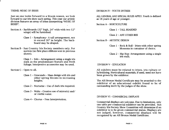## THEME: MUSIC OF IRISES

Just as one looks forward to a bloom season, we look fonvard to our iris show each spring. This year our artistic division features an array of irises interpreting "MUSIC OF IRISFS''.

- Section A Backboards (32" high, 24" wide with two 12" wings) will be furnished.
	- Class 1 Symphony- A tall arrangement, not to exceed 30" in height. The backboard may be draped.
- Section B Sun Country Iris Society members only. For novices (no first place ribbons won in previous shows).

Class 1 - Solo - Arrangement using a single iris stalk as the predominant feature and fresh foliage. Interpretive accessories may be used.

Section C - Open to all.

- Class 1 Crescendo Mass design with iris and other spring blooms in increasing heights.
- Class 2 Nocturne Use of dark iris required.
- Class  $3$  Waltz Creative use of mirror(s) and/ or visible water.

Class 4 - Chorus - Free Interpretation.

#### DIVISION IV - YOUTH ENTRIES

ALL GENERAL AND SPECIAL RULES APPLY. Youth is defined as 18 years of age or younger.

Section A - HORTICUL TIJRE

Class 1 - TALL BEARDED

Class 2 - ANY OTHER IRIS

Section B - ARTISTIC DESIGN

- Class 1 Rock & Roll Irises with other spring blossoms in container of choice.
- Class 2 Hip Hop- Arrangement using a single iris stalk.

DIVISION V - EDUCATION

All exhibits must be related to irises, iris culture or hybridizing. Horticultural materials, if used, need not have been grown by the exhibitor.

The AIS Bronze Medal Certificate may be awarded to the exhibitor of an educational exhibit found to be of outstanding merit by the judges of the show.

### DIVISION VI - COMMERCIAL DISPLAYS

Commercial displays are welcome. Due to limitations, only one table per commercial exhibitor can be provided. Sun Country Iris Society Show Committee will determine if an exhibitor is to be given commercial status. Displays are not judged, however, commercial displays will be recognized by an AIS Bronze Medal Certificate.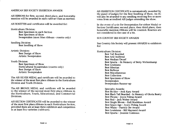## AMERICAN IRIS SOCIETY EXHIBITION AWARDS

AlS RIBBONS for first, second, third place, and honorable mention will be awarded in each cultivar/class as merited.

AIS ROSETTES and certificates will be awarded for:

Horticulture Division: Best Specimen in each Section Best Specimen of Show Sweepstakes (most blue ribbons - rosette only)

Seedling Division: Best Seedling of Show

Artistic Division: Best Design of Show Artistic Sweepstakes

Youth Division:

Best Specimen of Show Horticultural Sweepstakes (rosette only) Best Design of Show Artistic Sweepstakes

The AIS SILVER MEDAL and certificate will be awarded to the winner of the most first place ribbons in the Horticulture Division and Youth Division.

The AlS BRONZE MEDAL and certificate will be awarded to the winner of the second most first place ribbons in the Horticulture, Youth, Educational, and Commercial Divisions.

AlS SECTION CERTIFICATES will be awarded to the winner of the most first place ribbons in each Horticulture Section, provided there are at least three exhibitors and competition in at least five varieties (cultivars).

AlS EXHIBITION CERTIFICATE is automatically awarded by the panel of judges for the Best Seedling of Show. An EC will also be awarded to any seedling receiving five or more votes from accredited AlS judges attending the show.

In the event of a tie for Sweepstakes for either Medal or Section Certificates; second place, then third place, then honorable mention ribbons will be counted. Rosettes are not considered in the case of a tie.

## SUN COUNTRY IRIS SOCIETY AWARDS

Sun Country Iris Society will present AWARDS to exhibitors for:

Horticulture Division: Best Tall Bearded Best Aril/Arilbred Best Median/Dwarf Best Spuria - In Memory of Betty Wickenkamp Best Louisiana Best Siberian Best Bulbous Best Miscellaneous Best Collection Best Specimen of Show Sweepstakes Sweepstakes Runner-up

> Specialty Awards: Best Bicolor - Ardi Kary Award Best Black Tall Bearded - In Memory of Gloria Beatty Best Plicata - joyce Poling Award Best Red - jack Weber Award Best Single Bloom - Hall Bradshaw Award Best Space Age - Avery Poling Award Best White - Patrick Orr Award Best Louisiana - Bill Maynard Award Best Spuria - jeannie Comeaux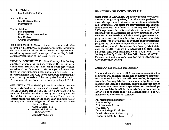Seedling Division: Best Seedling of Show

Artistic Division Best Design of Show Sweepstakes

Youth Division

Best Specimen Horticultural Sweepstakes Best Design Artistic Sweepstakes

PREMIUM AWARDS: Many of the above winners will also receive a PREMIUM AWARD of a new or recently introduced rhizome or gift certificate. Those people and organizations contributing awards will be recognized at the May 3, 2011 Awards Presentation of Sun Country Iris Society.

PREMIUM CONTRIBUTORS : Sun Country Iris Society sincerely appreciates the generosity of the hybridizers, commercial iris gardens, and other businesses which contributed our show awards. We hope you will remember them for your gardening needs and when purchasing your new iris rhizomes this year. Those people and organizations contributing awards will be recognized at the Award Presentation at Sun Country Iris Society on May 3, 2011.

GIFf CERTIFICATE: A \$50.00 gift certificate is being donated by Kary Iris Gardens, a commercial iris garden and member of Sun Country Iris Society. This gift certificate will be awarded based on random drawing. Each entry entitles the exhibitor to one chance in the drawing. Thus, the more entries made, the greater the chances an exhibitor has of winning this commercial garden gift certificate. We thank:

Kary Iris Gardens 6201 E. Calle Rosa Scottsdale, AZ 85251-4224 480-949-0253 ArdiKary@aol.com

#### SUN COUNTRY IRIS SOCIETY MEMBERSHIP

Membership in Sun Country Iris Society is open to everyone interested in growing irises, from the home gardener to those with specialized interests. Our meetings are friendly and informative. Our members enjoy learning and sharing their knowledge. Sun Country Iris Society was formed in 1969 to promote the culture of irises in our area. We are affiliated with the American Iris Society, founded in 1920. Benefits of membership include monthly garden-related 'programs and an iris education segment; monthly newsletter with growing tips; door prizes and refreshments; projects and activities valley-wide; annual iris show and competition; annual rhizome sale. Sun Country Iris Society dues for the 2011 year are \$15 individual, \$20 family, and \$5 youth. Send your check made out to Sun Country Iris' Society to Randy Pooler, PO Box 5411, Mesa, AZ 85211. Please check out our web page for more information www.suncountryiris.org.

#### AMERICAN IRIS SOCIETY MEMBERSHIP

The American Iris Society (AIS) creates and maintains the register of iris, qualified judges, and competition standards for shows such as this one. AIS membership is separate from Sun Country Iris Society membership. Benefits of membership include a quarterly color bulletin with topics of interest to iris enthusiasts. Special section memberships are also available in AIS for those wishing information on . other types of irises than Tall Bearded irises. For AIS membership information, contact:

AIS Membership Secretary Tom Gormley 205 Catalonia Avenue P.O. Box 177 DeLeon Springs, FL 32130 E-mail: aismemsec@irises.org Phone/fax: 386-277-2057